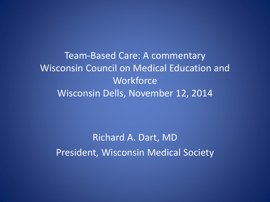Team-Based Care: A commentary Wisconsin Council on Medical Education and **Workforce** Wisconsin Dells, November 12, 2014

Richard A. Dart, MD President, Wisconsin Medical Society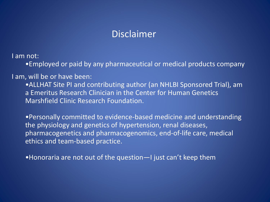#### **Disclaimer**

I am not:

•Employed or paid by any pharmaceutical or medical products company

I am, will be or have been:

•ALLHAT Site PI and contributing author (an NHLBI Sponsored Trial), am a Emeritus Research Clinician in the Center for Human Genetics Marshfield Clinic Research Foundation.

•Personally committed to evidence-based medicine and understanding the physiology and genetics of hypertension, renal diseases, pharmacogenetics and pharmacogenomics, end-of-life care, medical ethics and team-based practice.

•Honoraria are not out of the question—I just can't keep them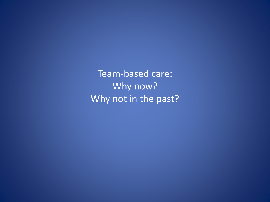Team-based care: Why now? Why not in the past?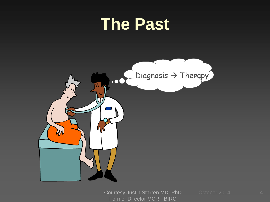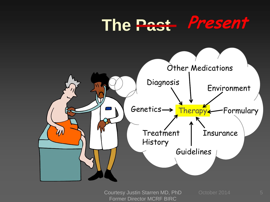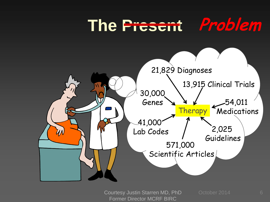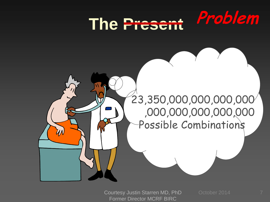### **The Present Problem**

# 23,350,000,000,000,000 ,000,000,000,000,000 Possible Combinations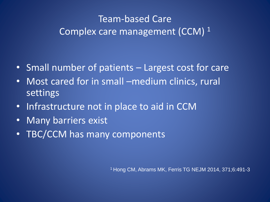## Team-based Care Complex care management (CCM)<sup>1</sup>

- Small number of patients Largest cost for care
- Most cared for in small –medium clinics, rural settings
- Infrastructure not in place to aid in CCM
- Many barriers exist
- TBC/CCM has many components

1 Hong CM, Abrams MK, Ferris TG NEJM 2014, 371;6:491-3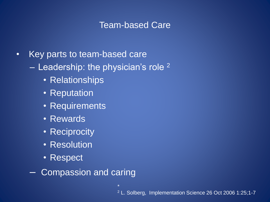### Team-based Care

- Key parts to team-based care
	- $-$  Leadership: the physician's role  $2$ 
		- Relationships
		- Reputation
		- Requirements
		- Rewards
		- Reciprocity
		- Resolution
		- Respect
	- Compassion and caring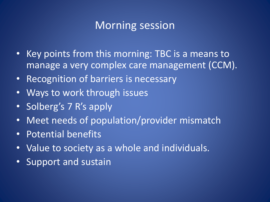# Morning session

- Key points from this morning: TBC is a means to manage a very complex care management (CCM).
- Recognition of barriers is necessary
- Ways to work through issues
- Solberg's 7 R's apply
- Meet needs of population/provider mismatch
- Potential benefits
- Value to society as a whole and individuals.
- Support and sustain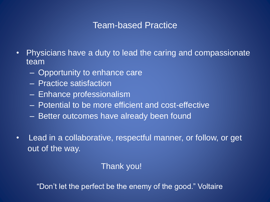#### Team-based Practice

- Physicians have a duty to lead the caring and compassionate team
	- Opportunity to enhance care
	- Practice satisfaction
	- Enhance professionalism
	- Potential to be more efficient and cost-effective
	- Better outcomes have already been found
- Lead in a collaborative, respectful manner, or follow, or get out of the way.

#### Thank you!

"Don't let the perfect be the enemy of the good." Voltaire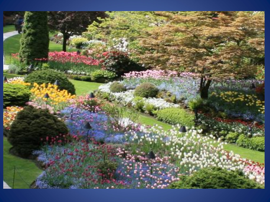